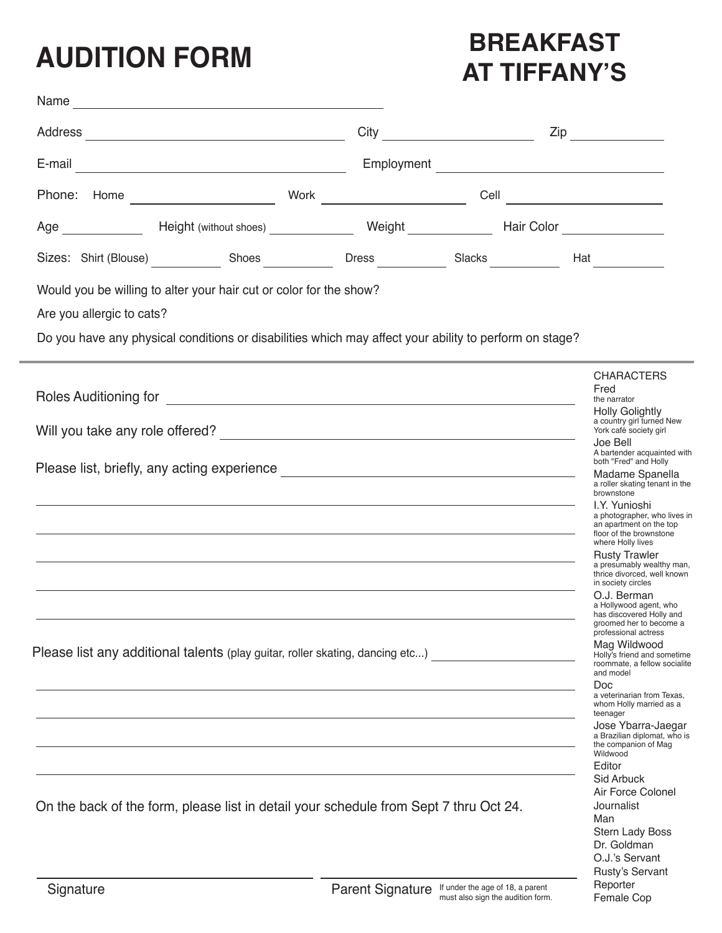## **AUDITION FORM**

Name

## **BREAKFAST AT TIFFANY'S**

| Address<br><u> 1980 - Johann Barbara, martxa amerikan personal (h. 1980).</u>                                                                                                                                                                                                                                                                                                                                                                                                                                                                                                                                                                                                                 | City                                              |  | $\mathsf{Zip}$                                                                                                                                                                                                                                                                                                                                                                                                                                                                        |
|-----------------------------------------------------------------------------------------------------------------------------------------------------------------------------------------------------------------------------------------------------------------------------------------------------------------------------------------------------------------------------------------------------------------------------------------------------------------------------------------------------------------------------------------------------------------------------------------------------------------------------------------------------------------------------------------------|---------------------------------------------------|--|---------------------------------------------------------------------------------------------------------------------------------------------------------------------------------------------------------------------------------------------------------------------------------------------------------------------------------------------------------------------------------------------------------------------------------------------------------------------------------------|
| E-mail<br><u> 1989 - Johann Barn, mars eta bainar eta baina eta baina eta baina eta baina eta baina eta baina eta baina e</u>                                                                                                                                                                                                                                                                                                                                                                                                                                                                                                                                                                 |                                                   |  |                                                                                                                                                                                                                                                                                                                                                                                                                                                                                       |
|                                                                                                                                                                                                                                                                                                                                                                                                                                                                                                                                                                                                                                                                                               |                                                   |  |                                                                                                                                                                                                                                                                                                                                                                                                                                                                                       |
|                                                                                                                                                                                                                                                                                                                                                                                                                                                                                                                                                                                                                                                                                               |                                                   |  |                                                                                                                                                                                                                                                                                                                                                                                                                                                                                       |
|                                                                                                                                                                                                                                                                                                                                                                                                                                                                                                                                                                                                                                                                                               |                                                   |  |                                                                                                                                                                                                                                                                                                                                                                                                                                                                                       |
| Would you be willing to alter your hair cut or color for the show?<br>Are you allergic to cats?<br>Do you have any physical conditions or disabilities which may affect your ability to perform on stage?                                                                                                                                                                                                                                                                                                                                                                                                                                                                                     |                                                   |  |                                                                                                                                                                                                                                                                                                                                                                                                                                                                                       |
| Roles Auditioning for <u>example and the contract of the set of the set of the set of the set of the set of the set of the set of the set of the set of the set of the set of the set of the set of the set of the set of the se</u>                                                                                                                                                                                                                                                                                                                                                                                                                                                          |                                                   |  | <b>CHARACTERS</b><br>Fred<br>the narrator<br><b>Holly Golightly</b><br>a country girl turned New<br>York café society girl<br>Joe Bell                                                                                                                                                                                                                                                                                                                                                |
| Please list, briefly, any acting experience <b>contract and all the set of the set of the set of the set of the set of the set of the set of the set of the set of the set of the set of the set of the set of the set of the se</b><br><u> 1989 - Johann Barn, mars and deutscher Stadt and deutscher Stadt and deutscher Stadt and deutscher Stadt and</u><br>,我们也不能在这里的时候,我们也不能在这里的时候,我们也不能会在这里的时候,我们也不能会在这里的时候,我们也不能会在这里的时候,我们也不能会在这里的时候,我们也<br>,我们也不能在这里的时候,我们也不能在这里的时候,我们也不能会不能会不能会不能会不能会不能会不能会不能会不能会不能会不能会不能会。<br>第2012章 我们的时候,我们的时候,我们的时候,我们的时候,我们的时候,我们的时候,我们的时候,我们的时候,我们的时候,我们的时候,我们的时候,我们的时候,我<br>,我们也不能在这里的时候,我们也不能在这里的时候,我们也不能不能不能不能不能不能不能不能不能不能不能不能。""我们的是我们的。""我们的是我们的,我们也不能不能 |                                                   |  | A bartender acquainted with<br>both "Fred" and Holly<br>Madame Spanella<br>a roller skating tenant in the<br>brownstone<br>I.Y. Yunioshi<br>a photographer, who lives in<br>an apartment on the top<br>floor of the brownstone<br>where Holly lives<br><b>Rusty Trawler</b><br>a presumably wealthy man,<br>thrice divorced, well known<br>in society circles<br>O.J. Berman<br>a Hollywood agent, who<br>has discovered Holly and<br>groomed her to become a<br>professional actress |
| Please list any additional talents (play guitar, roller skating, dancing etc)                                                                                                                                                                                                                                                                                                                                                                                                                                                                                                                                                                                                                 |                                                   |  | Mag Wildwood<br>Holly's friend and sometime<br>roommate, a fellow socialite<br>and model<br>Doc<br>a veterinarian from Texas,<br>whom Holly married as a<br>teenager<br>Jose Ybarra-Jaegar<br>a Brazilian diplomat, who is<br>the companion of Mag<br>Wildwood<br>Editor                                                                                                                                                                                                              |
| On the back of the form, please list in detail your schedule from Sept 7 thru Oct 24.                                                                                                                                                                                                                                                                                                                                                                                                                                                                                                                                                                                                         |                                                   |  | <b>Sid Arbuck</b><br>Air Force Colonel<br>Journalist<br>Man<br>Stern Lady Boss<br>Dr. Goldman<br>O.J.'s Servant<br><b>Rusty's Servant</b>                                                                                                                                                                                                                                                                                                                                             |
| Signature                                                                                                                                                                                                                                                                                                                                                                                                                                                                                                                                                                                                                                                                                     | Paront Sinnaturo If under the age of 18, a parent |  | Reporter                                                                                                                                                                                                                                                                                                                                                                                                                                                                              |

Female Cop